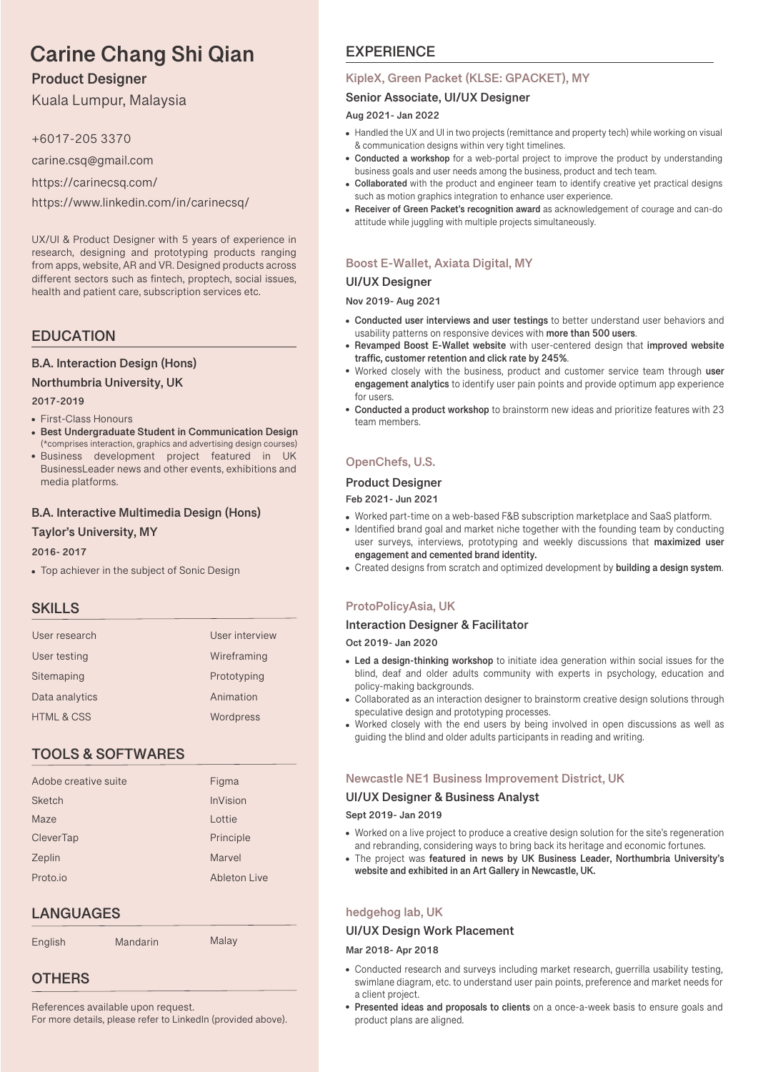# **Carine Chang Shi Qian**

# **Product Designer**

Kuala Lumpur, Malaysia

+6017-205 3370

carine.csq@gmail.com

https://carinecsq.com/

https://www.linkedin.com/in/carinecsq/

UX/UI & Product Designer with 5 years of experience in research, designing and prototyping products ranging from apps, website, AR and VR. Designed products across different sectors such as fintech, proptech, social issues, health and patient care, subscription services etc.

# **EDUCATION**

# **B.A. Interaction Design (Hons)**

**Northumbria University, UK**

- **2017-2019**
- First-Class Honours
- **Best Undergraduate Student in Communication Design** (\*comprises interaction, graphics and advertising design courses)
- Business development project featured in UK BusinessLeader news and other events, exhibitions and media platforms.

# **B.A. Interactive Multimedia Design (Hons)**

### **Taylor's University, MY**

### **2016- 2017**

Top achiever in the subject of Sonic Design

# **SKILLS**

| User research         | User interview |
|-----------------------|----------------|
| User testing          | Wireframing    |
| Sitemaping            | Prototyping    |
| Data analytics        | Animation      |
| <b>HTML &amp; CSS</b> | Wordpress      |

# **TOOLS & SOFTWARES**

| Adobe creative suite | Figma           |
|----------------------|-----------------|
| <b>Sketch</b>        | <b>InVision</b> |
| Maze                 | Lottie          |
| CleverTap            | Principle       |
| Zeplin               | Marvel          |
| Proto.io             | Ableton Live    |
|                      |                 |

# **LANGUAGES**

English Mandarin Malay

# **OTHERS**

References available upon request. For more details, please refer to LinkedIn (provided above).

# **EXPERIENCE**

### **KipleX, Green Packet (KLSE: GPACKET), MY**

### **Senior Associate, UI/UX Designer**

#### **Aug 2021- Jan 2022**

- Handled the UX and UI in two projects (remittance and property tech) while working on visual & communication designs within very tight timelines.
- **Conducted a workshop** for a web-portal project to improve the product by understanding business goals and user needs among the business, product and tech team.
- **Collaborated** with the product and engineer team to identify creative yet practical designs such as motion graphics integration to enhance user experience.
- **Receiver of Green Packet's recognition award** as acknowledgement of courage and can-do attitude while juggling with multiple projects simultaneously.

# **Boost E-Wallet, Axiata Digital, MY**

### **UI/UX Designer**

#### **Nov 2019- Aug 2021**

- **Conducted user interviews and user testings** to better understand user behaviors and usability patterns on responsive devices with **more than 500 users**.
- **Revamped Boost E-Wallet website** with user-centered design that **improved website trac, customer retention and click rate by 245%**.
- Worked closely with the business, product and customer service team through **user engagement analytics** to identify user pain points and provide optimum app experience for users.
- **Conducted a product workshop** to brainstorm new ideas and prioritize features with 23 team members.

# **OpenChefs, U.S.**

# **Product Designer**

#### **Feb 2021- Jun 2021**

- Worked part-time on a web-based F&B subscription marketplace and SaaS platform.
- Identified brand goal and market niche together with the founding team by conducting user surveys, interviews, prototyping and weekly discussions that **maximized user engagement and cemented brand identity.**
- Created designs from scratch and optimized development by **building a design system**.

# **ProtoPolicyAsia, UK**

### **Interaction Designer & Facilitator**

**Oct 2019- Jan 2020**

- **Led a design-thinking workshop** to initiate idea generation within social issues for the blind, deaf and older adults community with experts in psychology, education and policy-making backgrounds.
- Collaborated as an interaction designer to brainstorm creative design solutions through speculative design and prototyping processes.
- Worked closely with the end users by being involved in open discussions as well as guiding the blind and older adults participants in reading and writing.

### **Newcastle NE1 Business Improvement District, UK**

### **UI/UX Designer & Business Analyst**

#### **Sept 2019- Jan 2019**

- Worked on a live project to produce a creative design solution for the site's regeneration and rebranding, considering ways to bring back its heritage and economic fortunes.
- The project was **featured in news by UK Business Leader, Northumbria University's website and exhibited in an Art Gallery in Newcastle, UK.**

# **hedgehog lab, UK**

### **UI/UX Design Work Placement**

#### **Mar 2018- Apr 2018**

- Conducted research and surveys including market research, guerrilla usability testing, swimlane diagram, etc. to understand user pain points, preference and market needs for a client project.
- **Presented ideas and proposals to clients** on a once-a-week basis to ensure goals and product plans are aligned.